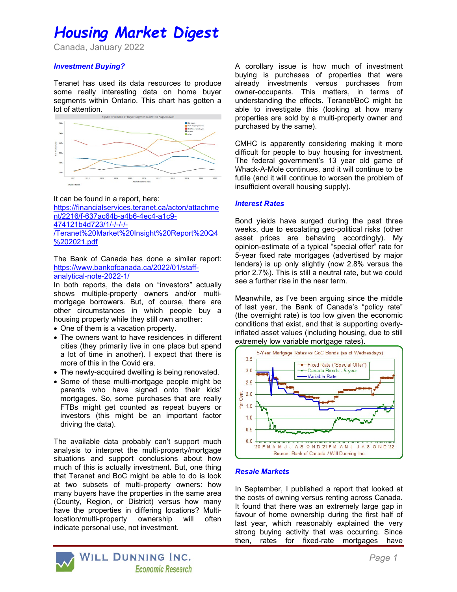# Housing Market Digest

Canada, January 2022

## Investment Buying?

Teranet has used its data resources to produce some really interesting data on home buyer segments within Ontario. This chart has gotten a lot of attention.<br>Figure 1: Volume of Buyer Segments 2011 to August 2021



It can be found in a report, here: https://financialservices.teranet.ca/acton/attachme nt/2216/f-637ac64b-a4b6-4ec4-a1c9- 474121b4d723/1/-/-/-/- /Teranet%20Market%20Insight%20Report%20Q4 %202021.pdf

The Bank of Canada has done a similar report: https://www.bankofcanada.ca/2022/01/staffanalytical-note-2022-1/

In both reports, the data on "investors" actually shows multiple-property owners and/or multimortgage borrowers. But, of course, there are other circumstances in which people buy a housing property while they still own another:

- One of them is a vacation property.
- The owners want to have residences in different cities (they primarily live in one place but spend a lot of time in another). I expect that there is more of this in the Covid era.
- The newly-acquired dwelling is being renovated.
- Some of these multi-mortgage people might be parents who have signed onto their kids' mortgages. So, some purchases that are really FTBs might get counted as repeat buyers or investors (this might be an important factor driving the data).

The available data probably can't support much analysis to interpret the multi-property/mortgage situations and support conclusions about how much of this is actually investment. But, one thing that Teranet and BoC might be able to do is look at two subsets of multi-property owners: how many buyers have the properties in the same area (County, Region, or District) versus how many have the properties in differing locations? Multilocation/multi-property ownership will often indicate personal use, not investment.

A corollary issue is how much of investment buying is purchases of properties that were already investments versus purchases from owner-occupants. This matters, in terms of understanding the effects. Teranet/BoC might be able to investigate this (looking at how many properties are sold by a multi-property owner and purchased by the same).

CMHC is apparently considering making it more difficult for people to buy housing for investment. The federal government's 13 year old game of Whack-A-Mole continues, and it will continue to be futile (and it will continue to worsen the problem of insufficient overall housing supply).

### Interest Rates

Bond yields have surged during the past three weeks, due to escalating geo-political risks (other asset prices are behaving accordingly). My opinion-estimate of a typical "special offer" rate for 5-year fixed rate mortgages (advertised by major lenders) is up only slightly (now 2.8% versus the prior 2.7%). This is still a neutral rate, but we could see a further rise in the near term.

Meanwhile, as I've been arguing since the middle of last year, the Bank of Canada's "policy rate" (the overnight rate) is too low given the economic conditions that exist, and that is supporting overlyinflated asset values (including housing, due to still extremely low variable mortgage rates).



## Resale Markets

In September, I published a report that looked at the costs of owning versus renting across Canada. It found that there was an extremely large gap in favour of home ownership during the first half of last year, which reasonably explained the very strong buying activity that was occurring. Since then, rates for fixed-rate mortgages have